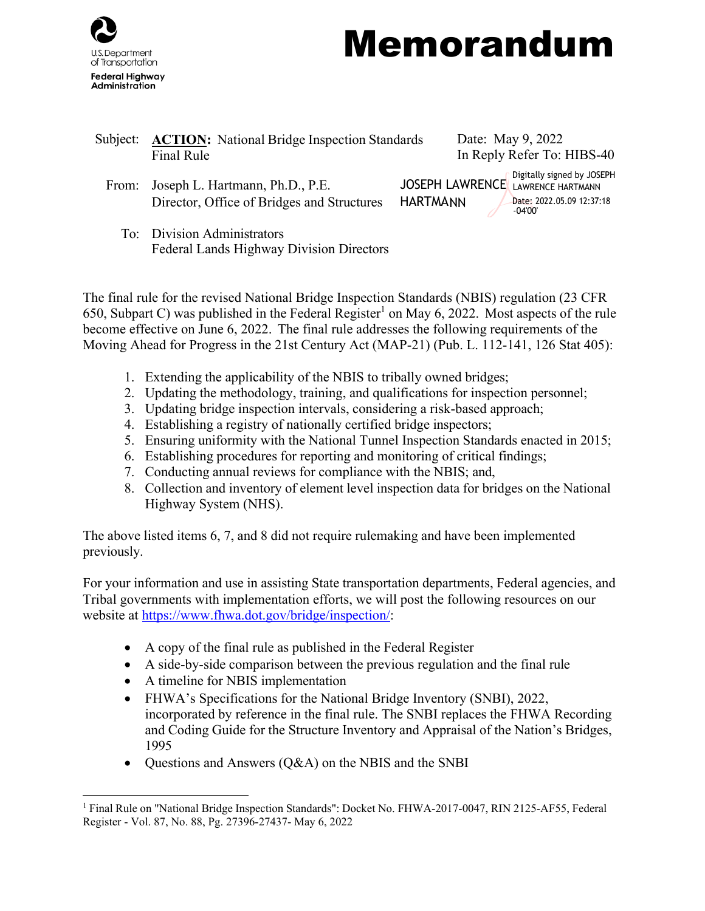

## Memorandum

| Subject: | <b>ACTION:</b> National Bridge Inspection Standards<br>Final Rule             | Date: May 9, 2022<br>In Reply Refer To: HIBS-40             |                                                                      |
|----------|-------------------------------------------------------------------------------|-------------------------------------------------------------|----------------------------------------------------------------------|
| From:    | Joseph L. Hartmann, Ph.D., P.E.<br>Director, Office of Bridges and Structures | <b>JOSEPH LAWRENCE</b> LAWRENCE HARTMANN<br><b>HARTMANN</b> | Digitally signed by JOSEPH<br>Date: 2022.05.09 12:37:18<br>$-04'00'$ |
|          | To: Division Administrators<br>Federal Lands Highway Division Directors       |                                                             |                                                                      |

The final rule for the revised National Bridge Inspection Standards (NBIS) regulation (23 CFR 650, Subpa[r](#page-0-0)t C) was published in the Federal Register<sup>1</sup> on May 6, 2022. Most aspects of the rule become effective on June 6, 2022. The final rule addresses the following requirements of the Moving Ahead for Progress in the 21st Century Act (MAP-21) (Pub. L. 112-141, 126 Stat 405):

- 1. Extending the applicability of the NBIS to tribally owned bridges;
- 2. Updating the methodology, training, and qualifications for inspection personnel;
- 3. Updating bridge inspection intervals, considering a risk-based approach;
- 4. Establishing a registry of nationally certified bridge inspectors;
- 5. Ensuring uniformity with the National Tunnel Inspection Standards enacted in 2015;
- 6. Establishing procedures for reporting and monitoring of critical findings;
- 7. Conducting annual reviews for compliance with the NBIS; and,
- 8. Collection and inventory of element level inspection data for bridges on the National Highway System (NHS).

The above listed items 6, 7, and 8 did not require rulemaking and have been implemented previously.

For your information and use in assisting State transportation departments, Federal agencies, and Tribal governments with implementation efforts, we will post the following resources on our website at [https://www.fhwa.dot.gov/bridge/inspection/:](https://www.fhwa.dot.gov/bridge/inspection/)

- A copy of the final rule as published in the Federal Register
- A side-by-side comparison between the previous regulation and the final rule
- A timeline for NBIS implementation
- FHWA's Specifications for the National Bridge Inventory (SNBI), 2022,
- incorporated by reference in the final rule. The SNBI replaces the FHWA Recording and Coding Guide for the Structure Inventory and Appraisal of the Nation's Bridges, 1995
- Questions and Answers (Q&A) on the NBIS and the SNBI

<span id="page-0-0"></span><sup>&</sup>lt;sup>1</sup> Final Rule on "National Bridge Inspection Standards": Docket No. FHWA-2017-0047, RIN 2125-AF55, Federal Register - Vol. 87, No. 88, Pg. 27396-27437- May 6, 2022